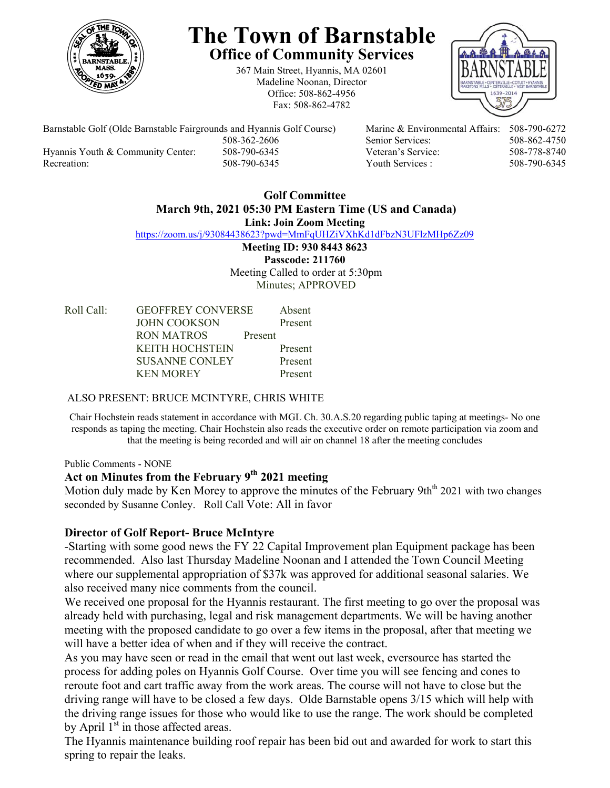

# **The Town of Barnstable Office of Community Services**

367 Main Street, Hyannis, MA 02601 Madeline Noonan, Director Office: 508-862-4956 Fax: 508-862-4782



Barnstable Golf (Olde Barnstable Fairgrounds and Hyannis Golf Course) Marine & Environmental Affairs: 508-790-6272 508-362-2606 Senior Services: 508-862-4750 Hyannis Youth & Community Center: 508-790-6345 Veteran's Service: 508-778-8740 Recreation: 508-790-6345 Youth Services : 508-790-6345

#### **Golf Committee March 9th, 2021 05:30 PM Eastern Time (US and Canada) Link: Join Zoom Meeting**

https://zoom.us/j/93084438623?pwd=MmFqUHZiVXhKd1dFbzN3UFlzMHp6Zz09

**Meeting ID: 930 8443 8623 Passcode: 211760**  Meeting Called to order at 5:30pm Minutes; APPROVED

| Roll Call: | <b>GEOFFREY CONVERSE</b> |         | Absent  |
|------------|--------------------------|---------|---------|
|            | <b>JOHN COOKSON</b>      |         | Present |
|            | RON MATROS               | Present |         |
|            | <b>KEITH HOCHSTEIN</b>   |         | Present |
|            | <b>SUSANNE CONLEY</b>    |         | Present |
|            | <b>KEN MOREY</b>         |         | Present |

## ALSO PRESENT: BRUCE MCINTYRE, CHRIS WHITE

Chair Hochstein reads statement in accordance with MGL Ch. 30.A.S.20 regarding public taping at meetings- No one responds as taping the meeting. Chair Hochstein also reads the executive order on remote participation via zoom and that the meeting is being recorded and will air on channel 18 after the meeting concludes

Public Comments - NONE

## **Act on Minutes from the February 9th 2021 meeting**

Motion duly made by Ken Morey to approve the minutes of the February 9th<sup>th</sup> 2021 with two changes seconded by Susanne Conley. Roll Call Vote: All in favor

## **Director of Golf Report- Bruce McIntyre**

-Starting with some good news the FY 22 Capital Improvement plan Equipment package has been recommended. Also last Thursday Madeline Noonan and I attended the Town Council Meeting where our supplemental appropriation of \$37k was approved for additional seasonal salaries. We also received many nice comments from the council.

We received one proposal for the Hyannis restaurant. The first meeting to go over the proposal was already held with purchasing, legal and risk management departments. We will be having another meeting with the proposed candidate to go over a few items in the proposal, after that meeting we will have a better idea of when and if they will receive the contract.

As you may have seen or read in the email that went out last week, eversource has started the process for adding poles on Hyannis Golf Course. Over time you will see fencing and cones to reroute foot and cart traffic away from the work areas. The course will not have to close but the driving range will have to be closed a few days. Olde Barnstable opens 3/15 which will help with the driving range issues for those who would like to use the range. The work should be completed by April  $1<sup>st</sup>$  in those affected areas.

The Hyannis maintenance building roof repair has been bid out and awarded for work to start this spring to repair the leaks.